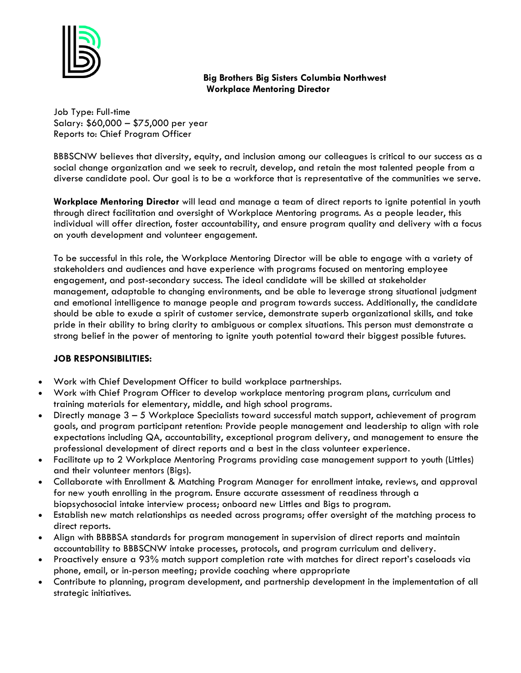

# **Big Brothers Big Sisters Columbia Northwest Workplace Mentoring Director**

Job Type: Full-time Salary: \$60,000 - \$75,000 per year Reports to: Chief Program Officer

BBBSCNW believes that diversity, equity, and inclusion among our colleagues is critical to our success as a social change organization and we seek to recruit, develop, and retain the most talented people from a diverse candidate pool. Our goal is to be a workforce that is representative of the communities we serve.

**Workplace Mentoring Director** will lead and manage a team of direct reports to ignite potential in youth through direct facilitation and oversight of Workplace Mentoring programs. As a people leader, this individual will offer direction, foster accountability, and ensure program quality and delivery with a focus on youth development and volunteer engagement.

To be successful in this role, the Workplace Mentoring Director will be able to engage with a variety of stakeholders and audiences and have experience with programs focused on mentoring employee engagement, and post-secondary success. The ideal candidate will be skilled at stakeholder management, adaptable to changing environments, and be able to leverage strong situational judgment and emotional intelligence to manage people and program towards success. Additionally, the candidate should be able to exude a spirit of customer service, demonstrate superb organizational skills, and take pride in their ability to bring clarity to ambiguous or complex situations. This person must demonstrate a strong belief in the power of mentoring to ignite youth potential toward their biggest possible futures.

## **JOB RESPONSIBILITIES:**

- Work with Chief Development Officer to build workplace partnerships.
- Work with Chief Program Officer to develop workplace mentoring program plans, curriculum and training materials for elementary, middle, and high school programs.
- Directly manage  $3 5$  Workplace Specialists toward successful match support, achievement of program goals, and program participant retention: Provide people management and leadership to align with role expectations including QA, accountability, exceptional program delivery, and management to ensure the professional development of direct reports and a best in the class volunteer experience.
- Facilitate up to 2 Workplace Mentoring Programs providing case management support to youth (Littles) and their volunteer mentors (Bigs).
- Collaborate with Enrollment & Matching Program Manager for enrollment intake, reviews, and approval for new youth enrolling in the program. Ensure accurate assessment of readiness through a biopsychosocial intake interview process; onboard new Littles and Bigs to program.
- Establish new match relationships as needed across programs; offer oversight of the matching process to direct reports.
- Align with BBBBSA standards for program management in supervision of direct reports and maintain accountability to BBBSCNW intake processes, protocols, and program curriculum and delivery.
- Proactively ensure a 93% match support completion rate with matches for direct report's caseloads via phone, email, or in-person meeting; provide coaching where appropriate
- Contribute to planning, program development, and partnership development in the implementation of all strategic initiatives.